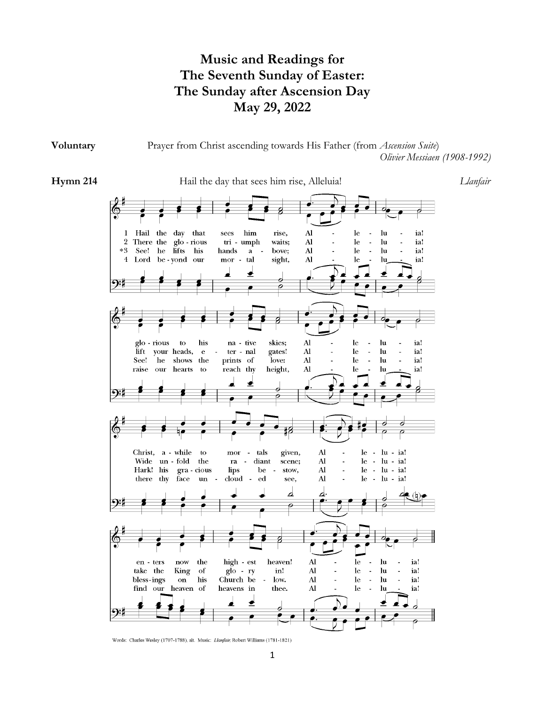## **Music and Readings for The Seventh Sunday of Easter: The Sunday after Ascension Day May 29, 2022**

**Voluntary** Prayer from Christ ascending towards His Father (from *Ascension Suite*) *Olivier Messiaen (1908-1992)* **Hymn 214** Hail the day that sees him rise, Alleluia! *Llanfair*Hail the day that him rise,  $\overline{\mathbf{A}}$  $\mathbf{u}$ ia!  $\mathbf{I}$ sees le 2 There the glo-rious  $\mathbf{A}$  $\mathbf{tri}$  umph waits;  $l$ e  $\overline{\phantom{a}}$  $\ln$ ial \*3 See! he lifts his hands  $\mathbf{A}$  $1\mathrm{e}$  $\mathbf{h}$ ial  $\mathbf{a}$ bove;  $\mathcal{L}$ 4 Lord be - yond our mor tal sight,  $\overline{\mathbf{A}}$  $1<sub>e</sub>$ lu ia! glo - rious to his na - tive skies;  $\mathbf{A}\mathbf{l}$  $1\mathrm{e}$  $\ddot{\phantom{1}}$  $\ln$ ial lift your heads,  $ter - nal$ gates!  $\mathbf{A}\mathbf{l}$ le  $\mathbf{r}$  $\ln$ ia! e.  $\overline{a}$ prints of  $\mathbf{A}$  $\ddot{\phantom{a}}$ ia! See! he shows the love: le  $\ln$ raise our hearts to reach thy height,  $\mathbf{A}$  $1e$  $\mathbf{u}$ ia! given,  $\mathbf{A}$  $le - lu - ia!$ Christ, a - while tals to mor  $\sim 10^{-1}$ Wide un - fold the ra diant scene;  $\mathbf{A}$  $1e - lu - ia!$ Hark! his gra - cious lips be stow,  $\mathbf{A} \mathbf{l}$  $le - lu - ia!$  $le - lu - ia!$ there thy cloud  $\mathbf{A} \mathbf{l}$ face  $\,$  un  $\,$  $\overline{a}$  $\sim$ ed see, ⊿ ó <u> ရှေး</u> en - ters now the high - est heaven!  $\mathbf{A}$  $l$ e  $\ln$ ia! take the King of  $g$ lo - ry in!  $\mathbf{A}$  $1e$  $\overline{\phantom{a}}$  $\ln$  $\mathbf{r}$ ia!  $\mathbf{A}$ bless-ings his Church be low.  $l$ e lu ia!  $\,$  on  $\overline{a}$  $\sim$ find our heaven of heavens in thee.  $\mathbf{A}$  $1\mathrm{e}$ ia!  $\ln$ 

Words: Charles Wesley (1707-1788), alt. Music: Llanfair, Robert Williams (1781-1821)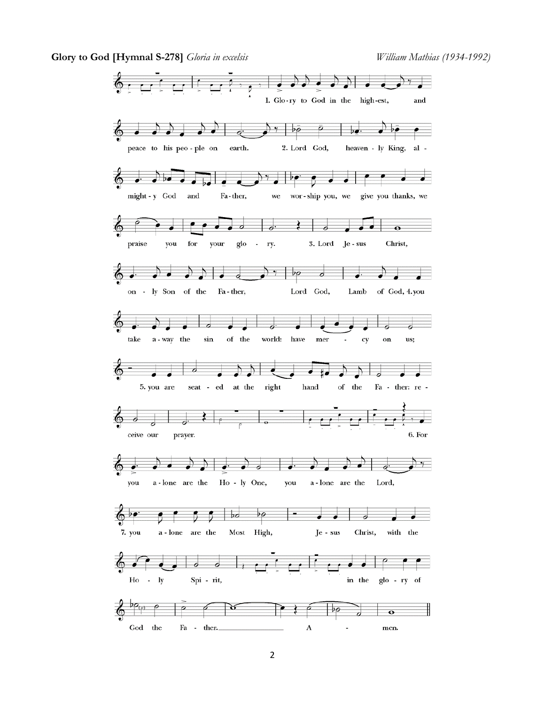**Glory to God [Hymnal S-278]** *Gloria in excelsis William Mathias (1934-1992)*

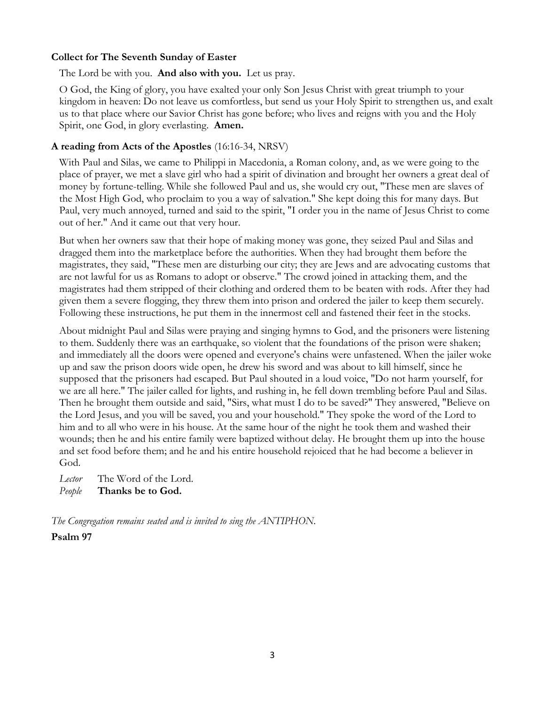#### **Collect for The Seventh Sunday of Easter**

The Lord be with you. **And also with you.** Let us pray.

O God, the King of glory, you have exalted your only Son Jesus Christ with great triumph to your kingdom in heaven: Do not leave us comfortless, but send us your Holy Spirit to strengthen us, and exalt us to that place where our Savior Christ has gone before; who lives and reigns with you and the Holy Spirit, one God, in glory everlasting. **Amen.**

### **A reading from Acts of the Apostles** (16:16-34, NRSV)

With Paul and Silas, we came to Philippi in Macedonia, a Roman colony, and, as we were going to the place of prayer, we met a slave girl who had a spirit of divination and brought her owners a great deal of money by fortune-telling. While she followed Paul and us, she would cry out, "These men are slaves of the Most High God, who proclaim to you a way of salvation." She kept doing this for many days. But Paul, very much annoyed, turned and said to the spirit, "I order you in the name of Jesus Christ to come out of her." And it came out that very hour.

But when her owners saw that their hope of making money was gone, they seized Paul and Silas and dragged them into the marketplace before the authorities. When they had brought them before the magistrates, they said, "These men are disturbing our city; they are Jews and are advocating customs that are not lawful for us as Romans to adopt or observe." The crowd joined in attacking them, and the magistrates had them stripped of their clothing and ordered them to be beaten with rods. After they had given them a severe flogging, they threw them into prison and ordered the jailer to keep them securely. Following these instructions, he put them in the innermost cell and fastened their feet in the stocks.

About midnight Paul and Silas were praying and singing hymns to God, and the prisoners were listening to them. Suddenly there was an earthquake, so violent that the foundations of the prison were shaken; and immediately all the doors were opened and everyone's chains were unfastened. When the jailer woke up and saw the prison doors wide open, he drew his sword and was about to kill himself, since he supposed that the prisoners had escaped. But Paul shouted in a loud voice, "Do not harm yourself, for we are all here." The jailer called for lights, and rushing in, he fell down trembling before Paul and Silas. Then he brought them outside and said, "Sirs, what must I do to be saved?" They answered, "Believe on the Lord Jesus, and you will be saved, you and your household." They spoke the word of the Lord to him and to all who were in his house. At the same hour of the night he took them and washed their wounds; then he and his entire family were baptized without delay. He brought them up into the house and set food before them; and he and his entire household rejoiced that he had become a believer in God.

*Lector* The Word of the Lord. *People* **Thanks be to God.**

*The Congregation remains seated and is invited to sing the ANTIPHON.*

**Psalm 97**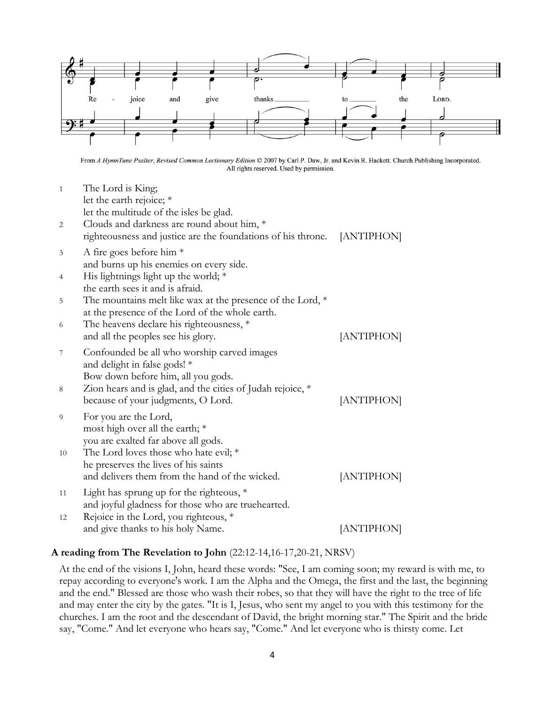

From A HymnTune Psalter, Revised Common Lectionary Edition © 2007 by Carl P. Daw, Jr. and Kevin R. Hackett. Church Publishing Incorporated. All rights reserved. Used by permission.

| $\mathbf{1}$<br>2 | The Lord is King;<br>let the earth rejoice; *<br>let the multitude of the isles be glad.<br>Clouds and darkness are round about him, *<br>righteousness and justice are the foundations of his throne. | [ANTIPHON] |
|-------------------|--------------------------------------------------------------------------------------------------------------------------------------------------------------------------------------------------------|------------|
| 3                 | A fire goes before him $*$                                                                                                                                                                             |            |
|                   | and burns up his enemies on every side.                                                                                                                                                                |            |
| 4                 | His lightnings light up the world; $*$<br>the earth sees it and is afraid.                                                                                                                             |            |
| 5                 | The mountains melt like wax at the presence of the Lord, $*$<br>at the presence of the Lord of the whole earth.                                                                                        |            |
| 6                 | The heavens declare his righteousness, $*$                                                                                                                                                             |            |
|                   | and all the peoples see his glory.                                                                                                                                                                     | [ANTIPHON] |
| 7                 | Confounded be all who worship carved images<br>and delight in false gods! *<br>Bow down before him, all you gods.                                                                                      |            |
| 8                 | Zion hears and is glad, and the cities of Judah rejoice, $*$                                                                                                                                           |            |
|                   | because of your judgments, O Lord.                                                                                                                                                                     | [ANTIPHON] |
| 9                 | For you are the Lord,<br>most high over all the earth; *                                                                                                                                               |            |
| 10                | you are exalted far above all gods.<br>The Lord loves those who hate evil; *<br>he preserves the lives of his saints<br>and delivers them from the hand of the wicked.                                 | [ANTIPHON] |
|                   |                                                                                                                                                                                                        |            |
| 11                | Light has sprung up for the righteous, $*$<br>and joyful gladness for those who are truehearted.                                                                                                       |            |
| 12                | Rejoice in the Lord, you righteous, *                                                                                                                                                                  |            |
|                   | and give thanks to his holy Name.                                                                                                                                                                      | [ANTIPHON] |

#### **A reading from The Revelation to John** (22:12-14,16-17,20-21, NRSV)

At the end of the visions I, John, heard these words: "See, I am coming soon; my reward is with me, to repay according to everyone's work. I am the Alpha and the Omega, the first and the last, the beginning and the end." Blessed are those who wash their robes, so that they will have the right to the tree of life and may enter the city by the gates. "It is I, Jesus, who sent my angel to you with this testimony for the churches. I am the root and the descendant of David, the bright morning star." The Spirit and the bride say, "Come." And let everyone who hears say, "Come." And let everyone who is thirsty come. Let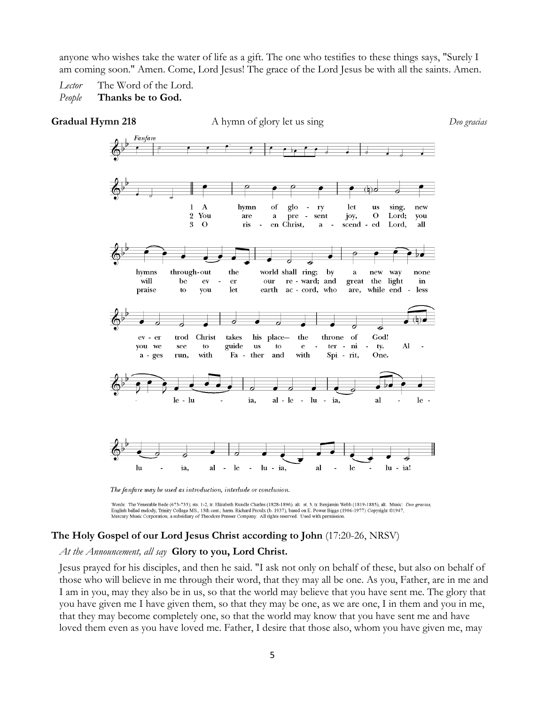anyone who wishes take the water of life as a gift. The one who testifies to these things says, "Surely I am coming soon." Amen. Come, Lord Jesus! The grace of the Lord Jesus be with all the saints. Amen.

*Lector* The Word of the Lord.

*People* **Thanks be to God.**



The fanfare may be used as introduction, interlude or conclusion.

Words: The Venerable Bede (673-735); sts. 1-2, tr. Elizabeth Rundle Charles (1828-1896), alt. st. 3, tr. Benjamin Webb (1819-1885), alt. Music: Deo gracias, English ballad melody, Trinity College MS., 15th cent.; harm. Richard Proulx (b. 1937), based on E. Power Biggs (1906-1977) Copyright ©1947, Mercury Music Corporation, a subsidiary of Theodore Presser Company. All rights reserved. Used with permission.

#### **The Holy Gospel of our Lord Jesus Christ according to John** (17:20-26, NRSV)

#### *At the Announcement, all say* **Glory to you, Lord Christ.**

Jesus prayed for his disciples, and then he said. "I ask not only on behalf of these, but also on behalf of those who will believe in me through their word, that they may all be one. As you, Father, are in me and I am in you, may they also be in us, so that the world may believe that you have sent me. The glory that you have given me I have given them, so that they may be one, as we are one, I in them and you in me, that they may become completely one, so that the world may know that you have sent me and have loved them even as you have loved me. Father, I desire that those also, whom you have given me, may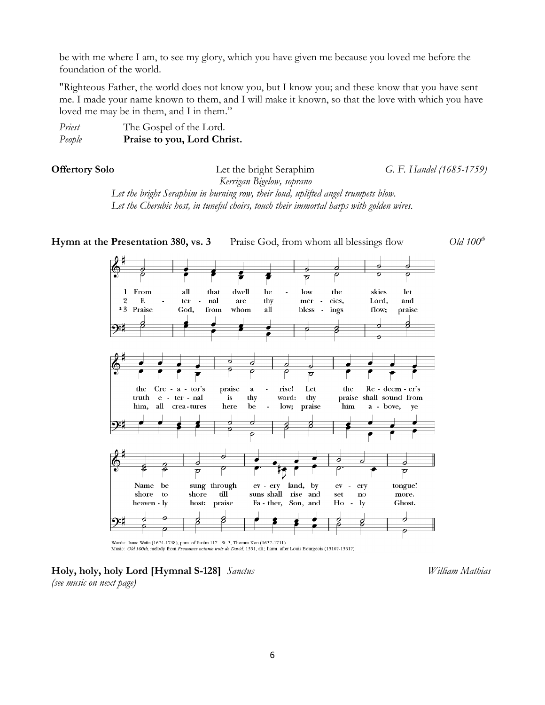be with me where I am, to see my glory, which you have given me because you loved me before the foundation of the world.

"Righteous Father, the world does not know you, but I know you; and these know that you have sent me. I made your name known to them, and I will make it known, so that the love with which you have loved me may be in them, and I in them."

*Priest* The Gospel of the Lord. *People* **Praise to you, Lord Christ.**

# *Kerrigan Bigelow, soprano*

**Hymn at the Presentation 380, vs. 3** Praise God, from whom all blessings flow *Old 100<sup>th</sup>* 

**Offertory Solo** Let the bright Seraphim *G. F. Handel (1685-1759)*

*Let the bright Seraphim in burning row, their loud, uplifted angel trumpets blow. Let the Cherubic host, in tuneful choirs, touch their immortal harps with golden wires.*

ಶ n  $\overline{\mathcal{P}}$ From  $all$ that dwell  $low$ the skies  $\mathbf{1}$ be let  $\overline{2}$  $E$ ter nal are thy mer cies, Lord. and  $\overline{a}$ \*3 Praise God, from whom all bless  $\overline{a}$ ings flow; praise •િ Ø Cre - a - tor's Let the *rise!* the Re - deem - er's praise  $\overline{a}$ praise shall sound from truth e ter nal  $i<sub>s</sub>$ thy word: thy him, all crea-tures here be low; praise him  $a$ bove, ye  $\overline{\phantom{0}}$ 7  $\overline{c}$  $\overline{\mathcal{C}}$ Name he sung through land, by tongue! ev - ery ev  $\overline{a}$ ery shore  $\mathbf{t}$ shore  $till$ suns shall rise and more. set no heaven - ly host: praise Fa - ther, Son, and Ho  $\ddot{\phantom{a}}$ ly Ghost. Ā Words: Isaac Watts (1674-1748), para. of Psalm 117. St. 3, Thomas Ken (1637-1711) Music: Old 100th, melody from Pseaumes octante trois de David, 1551, alt.; harm. after Louis Bourgeois (1510?-1561?)

**Holy, holy, holy Lord [Hymnal S-128]** *Sanctus William Mathias*

*(see music on next page)*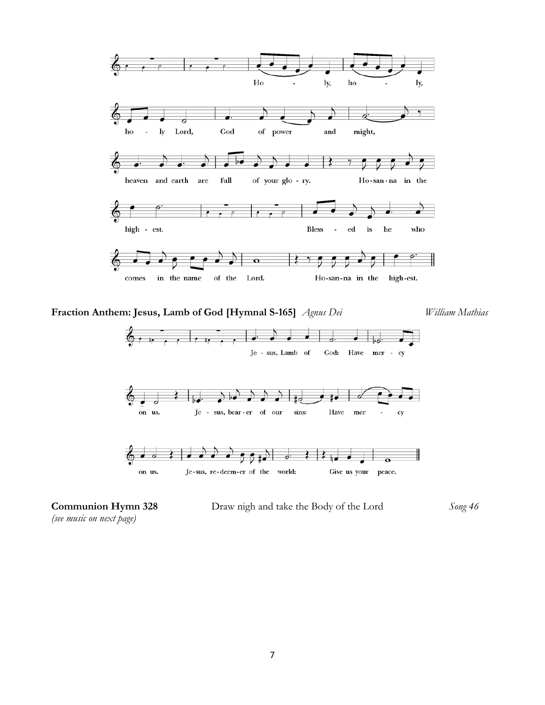

**Fraction Anthem: Jesus, Lamb of God [Hymnal S-165]** *Agnus Dei William Mathias*



*(see music on next page)*

**Communion Hymn 328** Draw nigh and take the Body of the Lord Song 46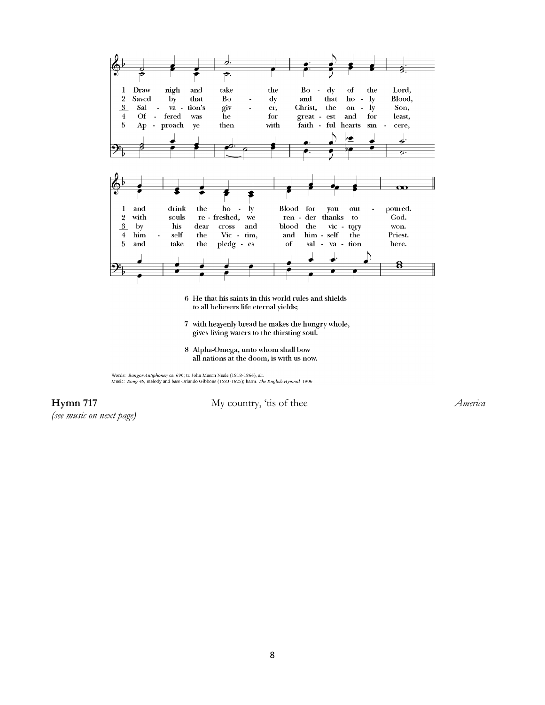

- 6 He that his saints in this world rules and shields to all believers life eternal yields;
- 7 with heavenly bread he makes the hungry whole, gives living waters to the thirsting soul.
- 8 Alpha-Omega, unto whom shall bow all nations at the doom, is with us now.

Words:  $\emph{Banger Antiphoner}$ ca. 690; tr. John Mason Neale (1818-1866), alt. Music:  $\emph{Song 46},$  melody and bass Orlando Gibbons (1583-1625); harm. The English Hymnal, 1906

*(see music on next page)*

**Hymn 717** My country, 'tis of thee *America*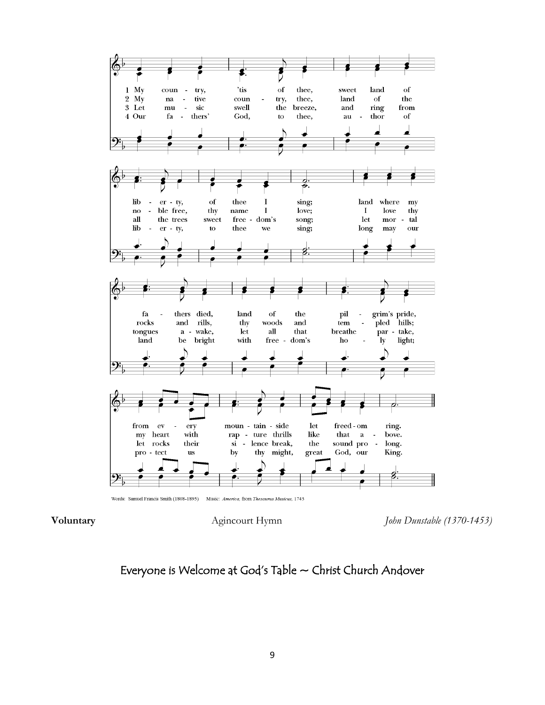

**Voluntary** Agincourt Hymn *John Dunstable (1370-1453)*

# Everyone is Welcome at God's Table ~ Christ Church Andover